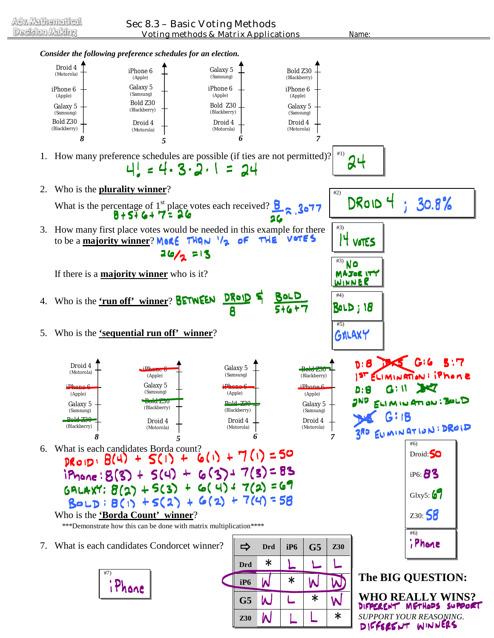

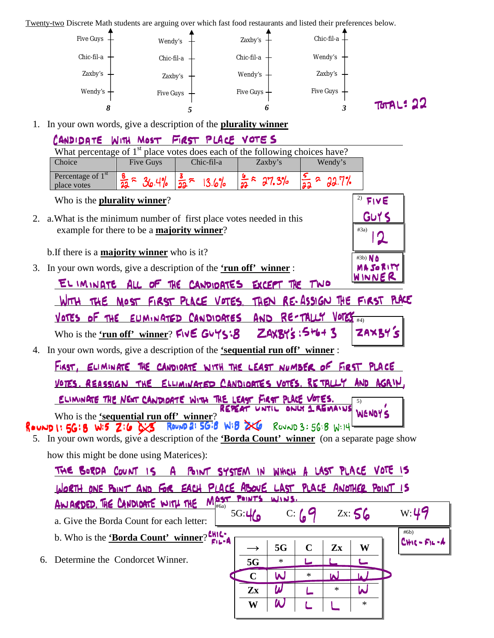Twenty-two Discrete Math students are arguing over which fast food restaurants and listed their preferences below.



1. In your own words, give a description of the **plurality winner**

|    | CANDIDATE WITH MOST FIRST PLACE VOTES                                                                                                                                              |                         |
|----|------------------------------------------------------------------------------------------------------------------------------------------------------------------------------------|-------------------------|
|    | What percentage of 1 <sup>st</sup> place votes does each of the following choices have?                                                                                            |                         |
|    | Choice<br><b>Five Guys</b><br>Chic-fil-a<br>Zaxby's<br>Wendy's                                                                                                                     |                         |
|    | Percentage of 1 <sup>st</sup><br>$\frac{8}{22}$ $\approx$<br>$\frac{5}{22}$ > 22.7%<br>$\frac{3}{22}$ $\approx$<br>$\frac{6}{22}$ $\approx$ 27.3%<br>36.4%<br>13.6%<br>place votes |                         |
|    | Who is the <b>plurality winner</b> ?                                                                                                                                               | 2)<br>FIVE              |
|    | 2. a. What is the minimum number of first place votes needed in this                                                                                                               | GUY S                   |
|    | example for there to be a <b>majority winner</b> ?                                                                                                                                 | #3a)                    |
|    | b. If there is a <b>majority winner</b> who is it?                                                                                                                                 | #3b) No                 |
| 3. | In your own words, give a description of the 'run off' winner:                                                                                                                     | MASORITY                |
|    | EL IMINATE ALL OF THE CANDIDATES EXCEPT THE TWO                                                                                                                                    | WINNER                  |
|    | WITH THE MOST FIRST PLACE VOTES. THEN RE-ASSIGN THE FIRST PLACE                                                                                                                    |                         |
|    | AND RE-TALLY VOTES<br>VOTES OF THE EUMINATED CANDIOATES                                                                                                                            | #4)                     |
|    | Who is the 'run off' winner? Five Guys:8 ZAXBY's : 5+6+ 3                                                                                                                          | ZAXBYS                  |
| 4. | In your own words, give a description of the <b>'sequential run off'</b> winner:                                                                                                   |                         |
|    | FIRST, ELIMINATE THE CANDIDATE WITH THE LEAST NUMBER OF FIRST PLACE                                                                                                                |                         |
|    | VOTES, REASSIGN THE ELLIMINATED CANDIOATES VOTES, RETALLY AND AGRIV,                                                                                                               |                         |
|    | ELIMINATE THE NEXT CANDIDATE WITH THE LEAST FIRST PLACE VOTES.                                                                                                                     | 5)                      |
|    | REPEAT UNTIL<br>ONLY 1 REMAINS<br>Who is the 'sequential run off' winner?                                                                                                          | <b>WENDYS</b>           |
|    | ROUND 1: 5G: 8 W:5 Z: 6 G: 8 ROUND 2: 5G: 8 W: 8 2XG ROUND 3: 5G: 8 W: 14                                                                                                          |                         |
|    | 5. In your own words, give a description of the <b>Borda Count' winner</b> (on a separate page show                                                                                |                         |
|    | how this might be done using Materices):                                                                                                                                           |                         |
|    | THE BORDA COUNT IS A POINT SYSTEM IN WHICH A LAST PLACE VOTE IS                                                                                                                    |                         |
|    | WORTH ONE POINT AND FOR EACH PLACE ABOVE LAST PLACE ANOTHER POINT IS                                                                                                               |                         |
|    | POINTS<br>WINS.<br>$M_{\text{\tiny{H6a}}}^{\text{OST}}$<br>AN ARDED. THE CANDIDATE WITH THE                                                                                        |                         |
|    | 5G:46<br>$C:$ $G$<br>a. Give the Borda Count for each letter:                                                                                                                      | W: 49<br>Zx:56          |
|    | b. Who is the <b>Borda Count'</b> winner?                                                                                                                                          | #6b)<br>$C + C - F - A$ |
|    | $\mathbf C$<br>5G<br>$Z_{X}$<br>Determine the Condorcet Winner.                                                                                                                    | W                       |
| 6. | ∗<br>5G<br>ىيا                                                                                                                                                                     |                         |
|    | W<br>*<br>$\mathbf C$<br>$\boldsymbol{\mathsf{N}}$<br>$\pmb{\omega}$<br>*                                                                                                          |                         |
|    | Zx<br>W                                                                                                                                                                            | W<br>∗                  |
|    | W                                                                                                                                                                                  |                         |